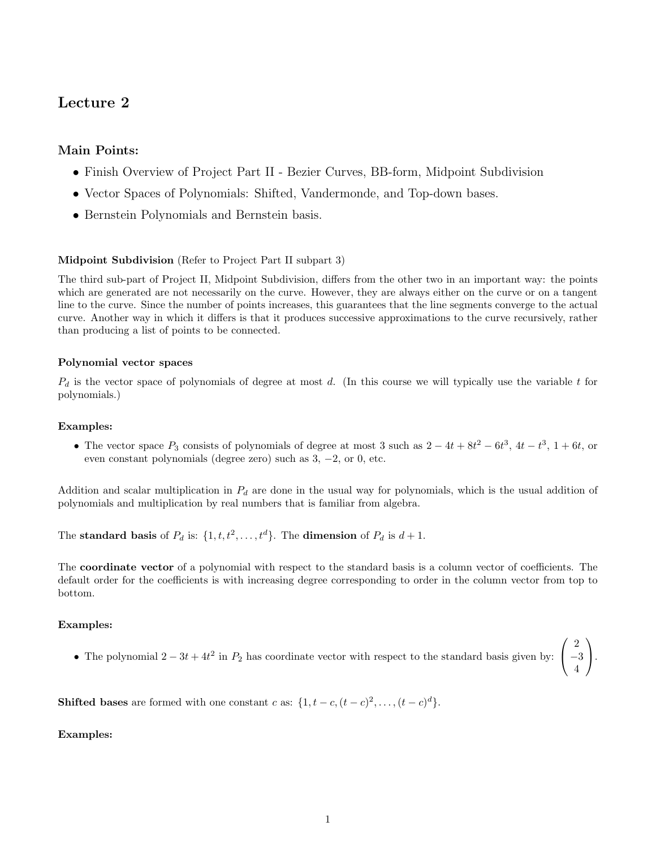# Lecture 2

## Main Points:

- Finish Overview of Project Part II Bezier Curves, BB-form, Midpoint Subdivision
- Vector Spaces of Polynomials: Shifted, Vandermonde, and Top-down bases.
- Bernstein Polynomials and Bernstein basis.

## Midpoint Subdivision (Refer to Project Part II subpart 3)

The third sub-part of Project II, Midpoint Subdivision, differs from the other two in an important way: the points which are generated are not necessarily on the curve. However, they are always either on the curve or on a tangent line to the curve. Since the number of points increases, this guarantees that the line segments converge to the actual curve. Another way in which it differs is that it produces successive approximations to the curve recursively, rather than producing a list of points to be connected.

## Polynomial vector spaces

 $P_d$  is the vector space of polynomials of degree at most d. (In this course we will typically use the variable t for polynomials.)

## Examples:

• The vector space  $P_3$  consists of polynomials of degree at most 3 such as  $2 - 4t + 8t^2 - 6t^3$ ,  $4t - t^3$ ,  $1 + 6t$ , or even constant polynomials (degree zero) such as 3, −2, or 0, etc.

Addition and scalar multiplication in  $P_d$  are done in the usual way for polynomials, which is the usual addition of polynomials and multiplication by real numbers that is familiar from algebra.

The standard basis of  $P_d$  is:  $\{1, t, t^2, \ldots, t^d\}$ . The dimension of  $P_d$  is  $d+1$ .

The coordinate vector of a polynomial with respect to the standard basis is a column vector of coefficients. The default order for the coefficients is with increasing degree corresponding to order in the column vector from top to bottom.

## Examples:

• The polynomial  $2-3t+4t^2$  in  $P_2$  has coordinate vector with respect to the standard basis given by:  $\mathcal{L}$ −3

 $\sqrt{ }$ 

2

 $\setminus$  $\cdot$ 

4

**Shifted bases** are formed with one constant c as:  $\{1, t - c, (t - c)^2, \ldots, (t - c)^d\}.$ 

## Examples: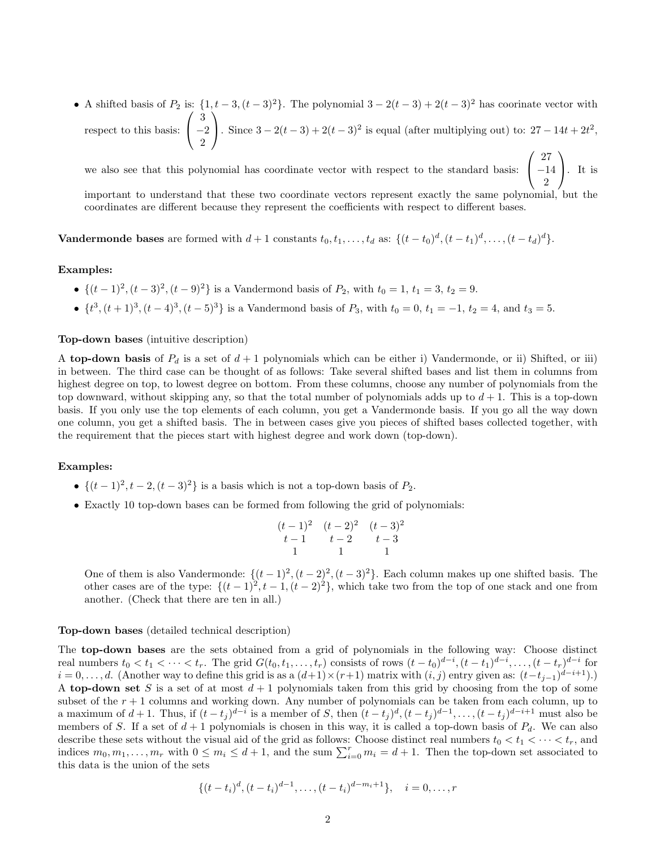• A shifted basis of  $P_2$  is:  $\{1, t-3, (t-3)^2\}$ . The polynomial  $3 - 2(t-3) + 2(t-3)^2$  has coorinate vector with respect to this basis:  $\sqrt{ }$  $\mathcal{L}$ 3 −2 2  $\setminus$ . Since  $3 - 2(t - 3) + 2(t - 3)^2$  is equal (after multiplying out) to:  $27 - 14t + 2t^2$ ,

we also see that this polynomial has coordinate vector with respect to the standard basis:  $\sqrt{ }$  $\mathcal{L}$ 27 −14 2  $\setminus$  $\cdot$  It is

important to understand that these two coordinate vectors represent exactly the same polynomial, but the coordinates are different because they represent the coefficients with respect to different bases.

**Vandermonde bases** are formed with  $d+1$  constants  $t_0, t_1, \ldots, t_d$  as:  $\{(t-t_0)^d, (t-t_1)^d, \ldots, (t-t_d)^d\}.$ 

#### Examples:

- $\{(t-1)^2, (t-3)^2, (t-9)^2\}$  is a Vandermond basis of  $P_2$ , with  $t_0 = 1, t_1 = 3, t_2 = 9$ .
- $\{t^3, (t+1)^3, (t-4)^3, (t-5)^3\}$  is a Vandermond basis of  $P_3$ , with  $t_0 = 0, t_1 = -1, t_2 = 4$ , and  $t_3 = 5$ .

#### Top-down bases (intuitive description)

A top-down basis of  $P_d$  is a set of  $d+1$  polynomials which can be either i) Vandermonde, or ii) Shifted, or iii) in between. The third case can be thought of as follows: Take several shifted bases and list them in columns from highest degree on top, to lowest degree on bottom. From these columns, choose any number of polynomials from the top downward, without skipping any, so that the total number of polynomials adds up to  $d+1$ . This is a top-down basis. If you only use the top elements of each column, you get a Vandermonde basis. If you go all the way down one column, you get a shifted basis. The in between cases give you pieces of shifted bases collected together, with the requirement that the pieces start with highest degree and work down (top-down).

## Examples:

- $\{(t-1)^2, t-2, (t-3)^2\}$  is a basis which is not a top-down basis of  $P_2$ .
- Exactly 10 top-down bases can be formed from following the grid of polynomials:

$$
\begin{array}{cccc}\n(t-1)^2 & (t-2)^2 & (t-3)^2 \\
t-1 & t-2 & t-3 \\
1 & 1 & 1\n\end{array}
$$

One of them is also Vandermonde:  $\{(t-1)^2, (t-2)^2, (t-3)^2\}$ . Each column makes up one shifted basis. The other cases are of the type:  $\{(t-1)^2, t-1, (t-2)^2\}$ , which take two from the top of one stack and one from another. (Check that there are ten in all.)

#### Top-down bases (detailed technical description)

The top-down bases are the sets obtained from a grid of polynomials in the following way: Choose distinct real numbers  $t_0 < t_1 < \cdots < t_r$ . The grid  $G(t_0, t_1, \ldots, t_r)$  consists of rows  $(t-t_0)^{d-i}, (t-t_1)^{d-i}, \ldots, (t-t_r)^{d-i}$  for  $i = 0, \ldots, d$ . (Another way to define this grid is as a  $(d+1) \times (r+1)$  matrix with  $(i, j)$  entry given as:  $(t-t_{j-1})^{d-i+1}$ ).) A top-down set S is a set of at most  $d+1$  polynomials taken from this grid by choosing from the top of some subset of the  $r + 1$  columns and working down. Any number of polynomials can be taken from each column, up to a maximum of  $d+1$ . Thus, if  $(t-t_j)^{d-i}$  is a member of S, then  $(t-t_j)^d$ ,  $(t-t_j)^{d-1}$ , ...,  $(t-t_j)^{d-i+1}$  must also be members of S. If a set of  $d+1$  polynomials is chosen in this way, it is called a top-down basis of  $P_d$ . We can also describe these sets without the visual aid of the grid as follows: Choose distinct real numbers  $t_0 < t_1 < \cdots < t_r$ , and indices  $m_0, m_1, \ldots, m_r$  with  $0 \le m_i \le d+1$ , and the sum  $\sum_{i=0}^r m_i = d+1$ . Then the top-down set associated to this data is the union of the sets

$$
\{(t-t_i)^d, (t-t_i)^{d-1}, \dots, (t-t_i)^{d-m_i+1}\}, \quad i=0,\dots, r
$$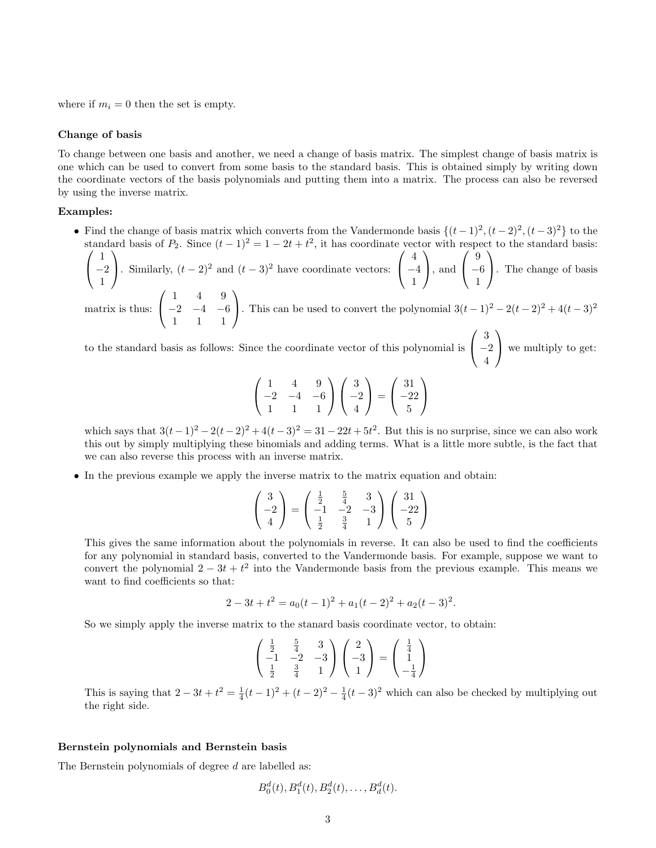where if  $m_i = 0$  then the set is empty.

#### Change of basis

To change between one basis and another, we need a change of basis matrix. The simplest change of basis matrix is one which can be used to convert from some basis to the standard basis. This is obtained simply by writing down the coordinate vectors of the basis polynomials and putting them into a matrix. The process can also be reversed by using the inverse matrix.

## Examples:

• Find the change of basis matrix which converts from the Vandermonde basis  $\{(t-1)^2, (t-2)^2, (t-3)^2\}$  to the standard basis of  $P_2$ . Since  $(t-1)^2 = 1 - 2t + t^2$ , it has coordinate vector with respect to the standard basis:

 $\sqrt{ }$  $\mathcal{L}$ 1 −2 1  $\setminus$ . Similarly,  $(t-2)^2$  and  $(t-3)^2$  have coordinate vectors:  $\sqrt{ }$  $\mathcal{L}$ 4 −4 1  $\setminus$ , and  $\sqrt{ }$  $\mathcal{L}$ 9 −6 1  $\setminus$ . The change of basis matrix is thus:  $\sqrt{ }$  $\mathcal{L}$ 1 4 9  $-2$   $-4$   $-6$ 1 1 1  $\setminus$ . This can be used to convert the polynomial  $3(t-1)^2 - 2(t-2)^2 + 4(t-3)^2$ 

to the standard basis as follows: Since the coordinate vector of this polynomial is  $\sqrt{ }$  $\mathcal{L}$ 3 −2 4  $\setminus$ we multiply to get:

$$
\begin{pmatrix} 1 & 4 & 9 \ -2 & -4 & -6 \ 1 & 1 & 1 \end{pmatrix} \begin{pmatrix} 3 \ -2 \ 4 \end{pmatrix} = \begin{pmatrix} 31 \ -22 \ 5 \end{pmatrix}
$$

which says that  $3(t-1)^2 - 2(t-2)^2 + 4(t-3)^2 = 31 - 22t + 5t^2$ . But this is no surprise, since we can also work this out by simply multiplying these binomials and adding terms. What is a little more subtle, is the fact that we can also reverse this process with an inverse matrix.

• In the previous example we apply the inverse matrix to the matrix equation and obtain:

$$
\begin{pmatrix} 3 \\ -2 \\ 4 \end{pmatrix} = \begin{pmatrix} \frac{1}{2} & \frac{5}{4} & 3 \\ -1 & -2 & -3 \\ \frac{1}{2} & \frac{3}{4} & 1 \end{pmatrix} \begin{pmatrix} 31 \\ -22 \\ 5 \end{pmatrix}
$$

This gives the same information about the polynomials in reverse. It can also be used to find the coefficients for any polynomial in standard basis, converted to the Vandermonde basis. For example, suppose we want to convert the polynomial  $2 - 3t + t^2$  into the Vandermonde basis from the previous example. This means we want to find coefficients so that:

$$
2 - 3t + t2 = a0(t - 1)2 + a1(t - 2)2 + a2(t - 3)2.
$$

So we simply apply the inverse matrix to the stanard basis coordinate vector, to obtain:

$$
\begin{pmatrix} \frac{1}{2} & \frac{5}{4} & 3\\ -1 & -2 & -3\\ \frac{1}{2} & \frac{3}{4} & 1 \end{pmatrix} \begin{pmatrix} 2\\ -3\\ 1 \end{pmatrix} = \begin{pmatrix} \frac{1}{4}\\ 1\\ -\frac{1}{4} \end{pmatrix}
$$

This is saying that  $2 - 3t + t^2 = \frac{1}{4}(t-1)^2 + (t-2)^2 - \frac{1}{4}(t-3)^2$  which can also be checked by multiplying out the right side.

#### Bernstein polynomials and Bernstein basis

The Bernstein polynomials of degree d are labelled as:

$$
B_0^d(t), B_1^d(t), B_2^d(t), \ldots, B_d^d(t).
$$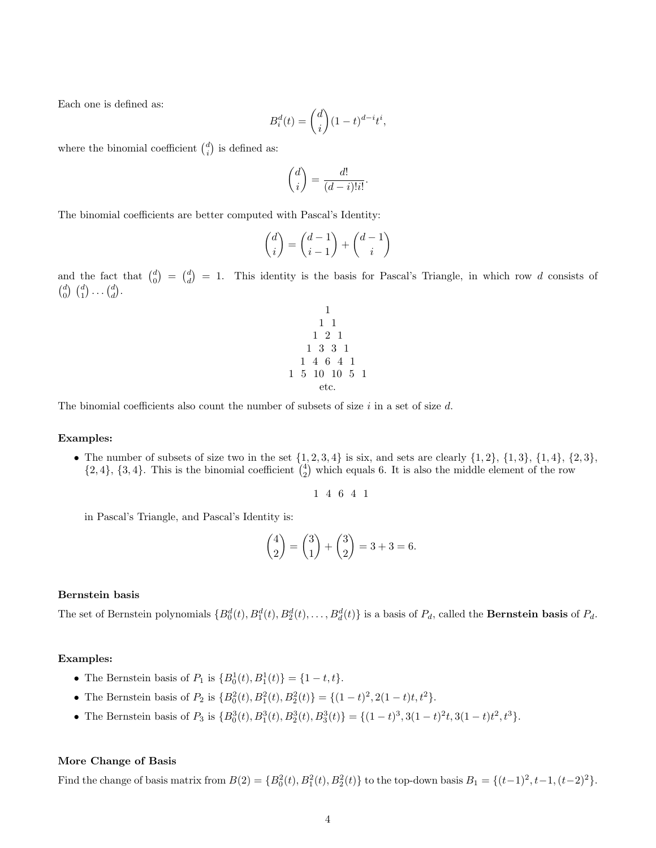Each one is defined as:

$$
B_i^d(t) = \binom{d}{i} (1-t)^{d-i} t^i,
$$

where the binomial coefficient  $\binom{d}{i}$  is defined as:

$$
\binom{d}{i} = \frac{d!}{(d-i)!i!}.
$$

The binomial coefficients are better computed with Pascal's Identity:

$$
\binom{d}{i} = \binom{d-1}{i-1} + \binom{d-1}{i}
$$

and the fact that  $\binom{d}{0} = \binom{d}{d} = 1$ . This identity is the basis for Pascal's Triangle, in which row d consists of  $\begin{pmatrix} d \\ 0 \end{pmatrix} \begin{pmatrix} d \\ 1 \end{pmatrix} \ldots \begin{pmatrix} d \\ d \end{pmatrix}$ .

1 1 1 1 2 1 1 3 3 1 1 4 6 4 1 1 5 10 10 5 1 etc.

The binomial coefficients also count the number of subsets of size  $i$  in a set of size  $d$ .

#### Examples:

• The number of subsets of size two in the set  $\{1, 2, 3, 4\}$  is six, and sets are clearly  $\{1, 2\}$ ,  $\{1, 3\}$ ,  $\{1, 4\}$ ,  $\{2, 3\}$ ,  $\{2,4\}$ ,  $\{3,4\}$ . This is the binomial coefficient  $\binom{4}{2}$  which equals 6. It is also the middle element of the row

$$
1\hspace{0.1cm} 4\hspace{0.1cm} 6\hspace{0.1cm} 4\hspace{0.1cm} 1
$$

in Pascal's Triangle, and Pascal's Identity is:

$$
\binom{4}{2} = \binom{3}{1} + \binom{3}{2} = 3 + 3 = 6.
$$

## Bernstein basis

The set of Bernstein polynomials  $\{B_0^d(t), B_1^d(t), B_2^d(t), \ldots, B_d^d(t)\}\$ is a basis of  $P_d$ , called the **Bernstein basis** of  $P_d$ .

#### Examples:

- The Bernstein basis of  $P_1$  is  ${B_0^1(t), B_1^1(t)} = {1 t, t}.$
- The Bernstein basis of  $P_2$  is  $\{B_0^2(t), B_1^2(t), B_2^2(t)\} = \{(1-t)^2, 2(1-t)t, t^2\}.$
- The Bernstein basis of  $P_3$  is  $\{B_0^3(t), B_1^3(t), B_2^3(t), B_3^3(t)\} = \{(1-t)^3, 3(1-t)^2t, 3(1-t)t^2, t^3\}.$

#### More Change of Basis

Find the change of basis matrix from  $B(2) = {B_0^2(t), B_1^2(t), B_2^2(t)}$  to the top-down basis  $B_1 = {(t-1)^2, t-1, (t-2)^2}.$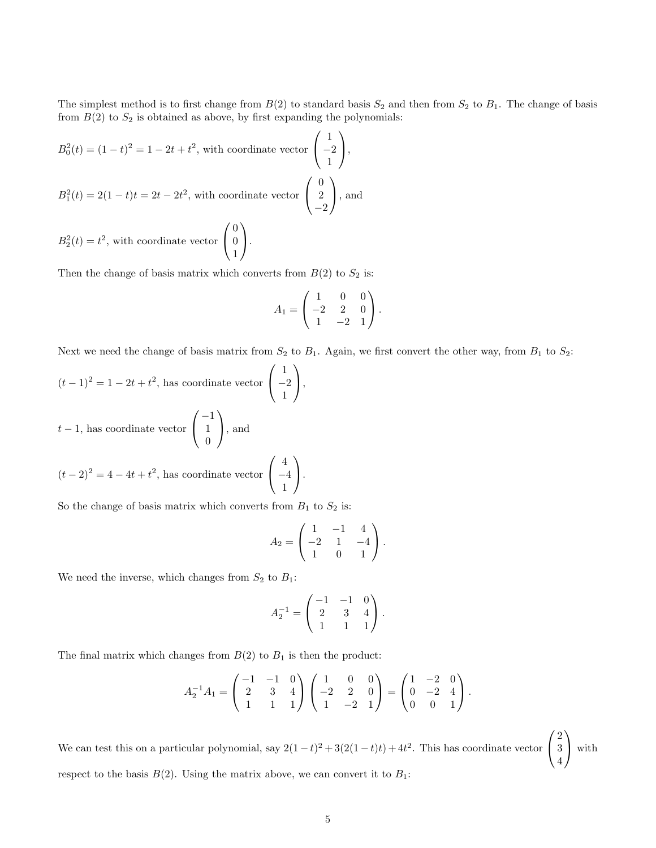The simplest method is to first change from  $B(2)$  to standard basis  $S_2$  and then from  $S_2$  to  $B_1$ . The change of basis from  $B(2)$  to  $S_2$  is obtained as above, by first expanding the polynomials:

$$
B_0^2(t) = (1 - t)^2 = 1 - 2t + t^2
$$
, with coordinate vector  $\begin{pmatrix} 1 \\ -2 \\ 1 \end{pmatrix}$ ,  
\n
$$
B_1^2(t) = 2(1 - t)t = 2t - 2t^2
$$
, with coordinate vector  $\begin{pmatrix} 0 \\ 2 \\ -2 \end{pmatrix}$ , and

 $B_2^2(t) = t^2$ , with coordinate vector  $\mathcal{L}$  $\overline{0}$ 1  $\cdot$ 

Then the change of basis matrix which converts from  $B(2)$  to  $S_2$  is:

$$
A_1 = \begin{pmatrix} 1 & 0 & 0 \\ -2 & 2 & 0 \\ 1 & -2 & 1 \end{pmatrix}.
$$

Next we need the change of basis matrix from  $S_2$  to  $B_1$ . Again, we first convert the other way, from  $B_1$  to  $S_2$ :

$$
(t-1)^2 = 1 - 2t + t^2
$$
, has coordinate vector  $\begin{pmatrix} 1 \\ -2 \\ 1 \end{pmatrix}$ ,  
  $t-1$ , has coordinate vector  $\begin{pmatrix} -1 \\ 1 \\ 0 \end{pmatrix}$ , and  
  $(t-2)^2 = 4 - 4t + t^2$ , has coordinate vector  $\begin{pmatrix} 4 \\ -4 \\ 1 \end{pmatrix}$ .

So the change of basis matrix which converts from  $B_1$  to  $S_2$  is:

$$
A_2 = \begin{pmatrix} 1 & -1 & 4 \\ -2 & 1 & -4 \\ 1 & 0 & 1 \end{pmatrix}.
$$

We need the inverse, which changes from  ${\cal S}_2$  to  ${\cal B}_1$  :

$$
A_2^{-1} = \begin{pmatrix} -1 & -1 & 0 \\ 2 & 3 & 4 \\ 1 & 1 & 1 \end{pmatrix}.
$$

The final matrix which changes from  $B(2)$  to  $B_1$  is then the product:

$$
A_2^{-1}A_1 = \begin{pmatrix} -1 & -1 & 0 \\ 2 & 3 & 4 \\ 1 & 1 & 1 \end{pmatrix} \begin{pmatrix} 1 & 0 & 0 \\ -2 & 2 & 0 \\ 1 & -2 & 1 \end{pmatrix} = \begin{pmatrix} 1 & -2 & 0 \\ 0 & -2 & 4 \\ 0 & 0 & 1 \end{pmatrix}.
$$

We can test this on a particular polynomial, say  $2(1-t)^2 + 3(2(1-t)t) + 4t^2$ . This has coordinate vector  $\sqrt{ }$  $\mathcal{L}$ 2 3 4  $\setminus$  with respect to the basis  $B(2)$ . Using the matrix above, we can convert it to  $B_1$ :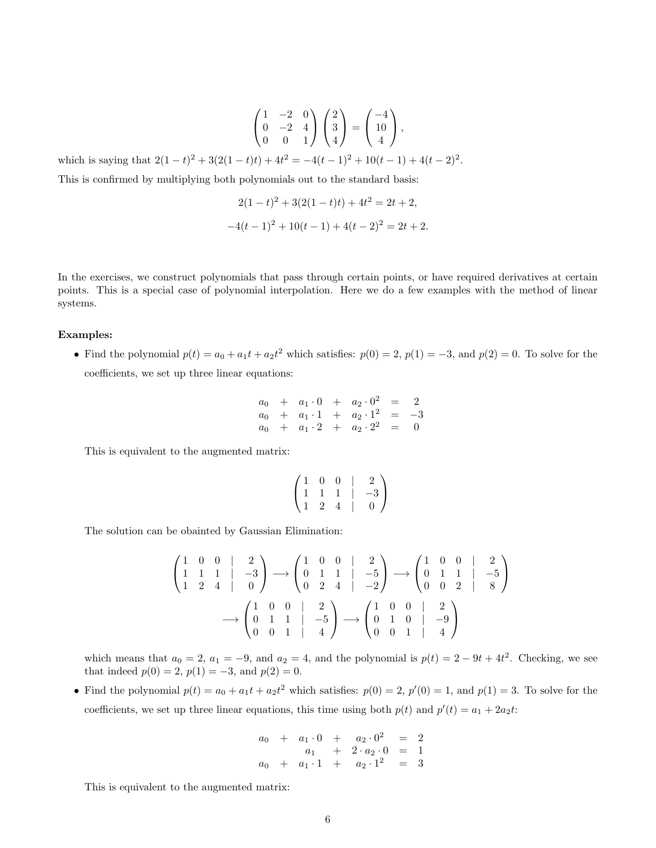$$
\begin{pmatrix} 1 & -2 & 0 \ 0 & -2 & 4 \ 0 & 0 & 1 \end{pmatrix} \begin{pmatrix} 2 \ 3 \ 4 \end{pmatrix} = \begin{pmatrix} -4 \ 10 \ 4 \end{pmatrix},
$$

which is saying that  $2(1-t)^2 + 3(2(1-t)t) + 4t^2 = -4(t-1)^2 + 10(t-1) + 4(t-2)^2$ .

This is confirmed by multiplying both polynomials out to the standard basis:

$$
2(1-t)^{2} + 3(2(1-t)t) + 4t^{2} = 2t + 2,
$$
  

$$
-4(t-1)^{2} + 10(t-1) + 4(t-2)^{2} = 2t + 2.
$$

In the exercises, we construct polynomials that pass through certain points, or have required derivatives at certain points. This is a special case of polynomial interpolation. Here we do a few examples with the method of linear systems.

#### Examples:

• Find the polynomial  $p(t) = a_0 + a_1t + a_2t^2$  which satisfies:  $p(0) = 2$ ,  $p(1) = -3$ , and  $p(2) = 0$ . To solve for the coefficients, we set up three linear equations:

$$
a_0 + a_1 \cdot 0 + a_2 \cdot 0^2 = 2
$$
  
\n
$$
a_0 + a_1 \cdot 1 + a_2 \cdot 1^2 = -3
$$
  
\n
$$
a_0 + a_1 \cdot 2 + a_2 \cdot 2^2 = 0
$$

This is equivalent to the augmented matrix:

$$
\begin{pmatrix} 1 & 0 & 0 & | & 2 \\ 1 & 1 & 1 & | & -3 \\ 1 & 2 & 4 & | & 0 \end{pmatrix}
$$

The solution can be obainted by Gaussian Elimination:

$$
\begin{pmatrix}\n1 & 0 & 0 & | & 2 \\
1 & 1 & 1 & | & -3 \\
1 & 2 & 4 & | & 0\n\end{pmatrix}\n\longrightarrow\n\begin{pmatrix}\n1 & 0 & 0 & | & 2 \\
0 & 1 & 1 & | & -5 \\
0 & 2 & 4 & | & -2\n\end{pmatrix}\n\longrightarrow\n\begin{pmatrix}\n1 & 0 & 0 & | & 2 \\
0 & 1 & 1 & | & -5 \\
0 & 0 & 2 & | & 8\n\end{pmatrix}
$$
\n
$$
\longrightarrow\n\begin{pmatrix}\n1 & 0 & 0 & | & 2 \\
0 & 1 & 1 & | & -5 \\
0 & 0 & 1 & | & 4\n\end{pmatrix}\n\longrightarrow\n\begin{pmatrix}\n1 & 0 & 0 & | & 2 \\
0 & 1 & 0 & | & -9 \\
0 & 0 & 1 & | & 4\n\end{pmatrix}
$$

which means that  $a_0 = 2$ ,  $a_1 = -9$ , and  $a_2 = 4$ , and the polynomial is  $p(t) = 2 - 9t + 4t^2$ . Checking, we see that indeed  $p(0) = 2$ ,  $p(1) = -3$ , and  $p(2) = 0$ .

• Find the polynomial  $p(t) = a_0 + a_1t + a_2t^2$  which satisfies:  $p(0) = 2$ ,  $p'(0) = 1$ , and  $p(1) = 3$ . To solve for the coefficients, we set up three linear equations, this time using both  $p(t)$  and  $p'(t) = a_1 + 2a_2t$ .

$$
a_0 + a_1 \cdot 0 + a_2 \cdot 0^2 = 2
$$
  
\n
$$
a_1 + 2 \cdot a_2 \cdot 0 = 1
$$
  
\n
$$
a_0 + a_1 \cdot 1 + a_2 \cdot 1^2 = 3
$$

This is equivalent to the augmented matrix: